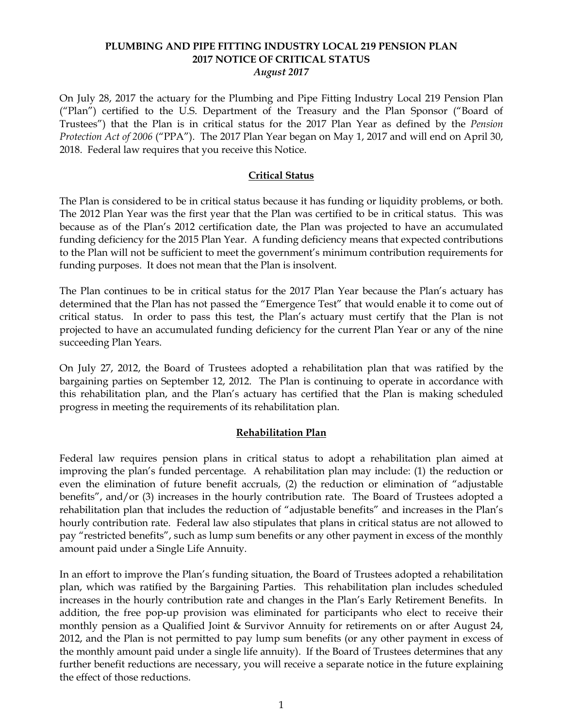### **PLUMBING AND PIPE FITTING INDUSTRY LOCAL 219 PENSION PLAN 2017 NOTICE OF CRITICAL STATUS** *August 2017*

On July 28, 2017 the actuary for the Plumbing and Pipe Fitting Industry Local 219 Pension Plan ("Plan") certified to the U.S. Department of the Treasury and the Plan Sponsor ("Board of Trustees") that the Plan is in critical status for the 2017 Plan Year as defined by the *Pension Protection Act of 2006* ("PPA"). The 2017 Plan Year began on May 1, 2017 and will end on April 30, 2018. Federal law requires that you receive this Notice.

### **Critical Status**

The Plan is considered to be in critical status because it has funding or liquidity problems, or both. The 2012 Plan Year was the first year that the Plan was certified to be in critical status. This was because as of the Plan's 2012 certification date, the Plan was projected to have an accumulated funding deficiency for the 2015 Plan Year. A funding deficiency means that expected contributions to the Plan will not be sufficient to meet the government's minimum contribution requirements for funding purposes. It does not mean that the Plan is insolvent.

The Plan continues to be in critical status for the 2017 Plan Year because the Plan's actuary has determined that the Plan has not passed the "Emergence Test" that would enable it to come out of critical status. In order to pass this test, the Plan's actuary must certify that the Plan is not projected to have an accumulated funding deficiency for the current Plan Year or any of the nine succeeding Plan Years.

On July 27, 2012, the Board of Trustees adopted a rehabilitation plan that was ratified by the bargaining parties on September 12, 2012. The Plan is continuing to operate in accordance with this rehabilitation plan, and the Plan's actuary has certified that the Plan is making scheduled progress in meeting the requirements of its rehabilitation plan.

## **Rehabilitation Plan**

Federal law requires pension plans in critical status to adopt a rehabilitation plan aimed at improving the plan's funded percentage. A rehabilitation plan may include: (1) the reduction or even the elimination of future benefit accruals, (2) the reduction or elimination of "adjustable benefits", and/or (3) increases in the hourly contribution rate. The Board of Trustees adopted a rehabilitation plan that includes the reduction of "adjustable benefits" and increases in the Plan's hourly contribution rate. Federal law also stipulates that plans in critical status are not allowed to pay "restricted benefits", such as lump sum benefits or any other payment in excess of the monthly amount paid under a Single Life Annuity.

In an effort to improve the Plan's funding situation, the Board of Trustees adopted a rehabilitation plan, which was ratified by the Bargaining Parties. This rehabilitation plan includes scheduled increases in the hourly contribution rate and changes in the Plan's Early Retirement Benefits. In addition, the free pop-up provision was eliminated for participants who elect to receive their monthly pension as a Qualified Joint & Survivor Annuity for retirements on or after August 24, 2012, and the Plan is not permitted to pay lump sum benefits (or any other payment in excess of the monthly amount paid under a single life annuity). If the Board of Trustees determines that any further benefit reductions are necessary, you will receive a separate notice in the future explaining the effect of those reductions.